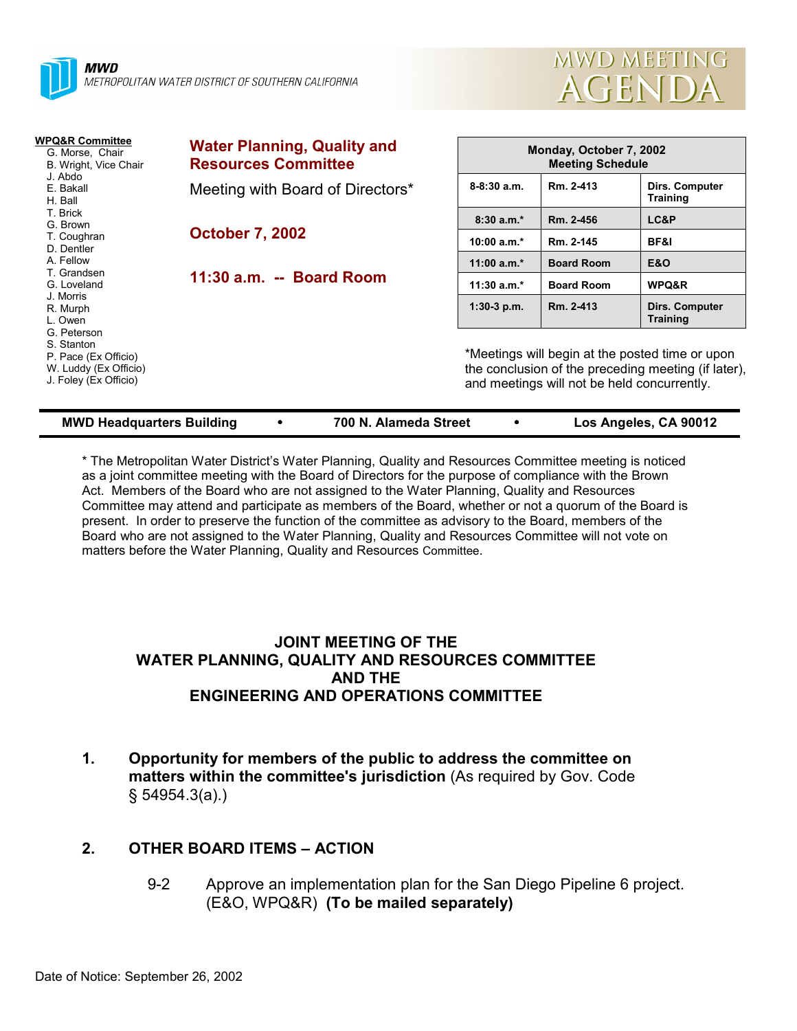



| WPQ&R Committee<br>G. Morse, Chair<br>B. Wright, Vice Chair                                         | <b>Water Planning, Quality and</b><br><b>Resources Committee</b> |               | Monday, October 7, 2002<br><b>Meeting Schedule</b>                                                                                                    |                                   |  |  |
|-----------------------------------------------------------------------------------------------------|------------------------------------------------------------------|---------------|-------------------------------------------------------------------------------------------------------------------------------------------------------|-----------------------------------|--|--|
| J. Abdo<br>E. Bakall<br>H. Ball                                                                     | Meeting with Board of Directors*                                 | $8-8:30a.m.$  | Rm. 2-413                                                                                                                                             | Dirs. Computer<br><b>Training</b> |  |  |
| T. Brick<br>G. Brown                                                                                |                                                                  | $8:30a.m.*$   | Rm. 2-456                                                                                                                                             | LC&P                              |  |  |
| T. Coughran<br>D. Dentler                                                                           | <b>October 7, 2002</b>                                           | 10:00 $a.m.*$ | Rm. 2-145                                                                                                                                             | BF&I                              |  |  |
| A. Fellow                                                                                           | 11:30 a.m. -- Board Room                                         | 11:00 $a.m.*$ | <b>Board Room</b>                                                                                                                                     | <b>E&amp;O</b>                    |  |  |
| T. Grandsen<br>G. Loveland                                                                          |                                                                  | 11:30 $a.m.*$ | <b>Board Room</b>                                                                                                                                     | WPQ&R                             |  |  |
| J. Morris<br>R. Murph<br>L. Owen                                                                    |                                                                  | $1:30-3$ p.m. | Rm. 2-413                                                                                                                                             | Dirs. Computer<br><b>Training</b> |  |  |
| G. Peterson<br>S. Stanton<br>P. Pace (Ex Officio)<br>W. Luddy (Ex Officio)<br>J. Foley (Ex Officio) |                                                                  |               | *Meetings will begin at the posted time or upon<br>the conclusion of the preceding meeting (if later),<br>and meetings will not be held concurrently. |                                   |  |  |

| <b>MWD Headquarters Building</b> |  | 700 N. Alameda Street |  | Los Angeles, CA 90012 |
|----------------------------------|--|-----------------------|--|-----------------------|
|----------------------------------|--|-----------------------|--|-----------------------|

\* The Metropolitan Water Districtís Water Planning, Quality and Resources Committee meeting is noticed as a joint committee meeting with the Board of Directors for the purpose of compliance with the Brown Act. Members of the Board who are not assigned to the Water Planning, Quality and Resources Committee may attend and participate as members of the Board, whether or not a quorum of the Board is present. In order to preserve the function of the committee as advisory to the Board, members of the Board who are not assigned to the Water Planning, Quality and Resources Committee will not vote on matters before the Water Planning, Quality and Resources Committee.

## **JOINT MEETING OF THE WATER PLANNING, QUALITY AND RESOURCES COMMITTEE AND THE ENGINEERING AND OPERATIONS COMMITTEE**

**1. Opportunity for members of the public to address the committee on matters within the committee's jurisdiction** (As required by Gov. Code ß 54954.3(a).)

# **2. OTHER BOARD ITEMS - ACTION**

9-2 Approve an implementation plan for the San Diego Pipeline 6 project. (E&O, WPQ&R) **(To be mailed separately)**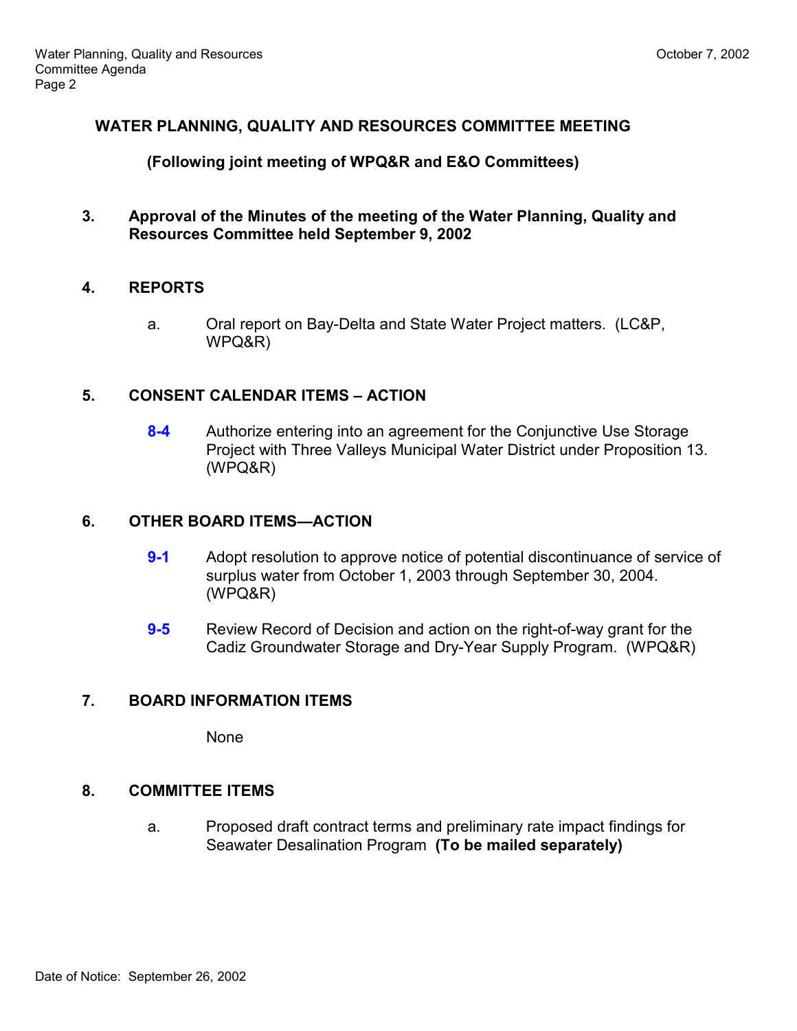## **WATER PLANNING, QUALITY AND RESOURCES COMMITTEE MEETING**

### **(Following joint meeting of WPQ&R and E&O Committees)**

**3. Approval of the Minutes of the meeting of the Water Planning, Quality and Resources Committee held September 9, 2002**

## **4. REPORTS**

a. Oral report on Bay-Delta and State Water Project matters. (LC&P, WPQ&R)

## **5. CONSENT CALENDAR ITEMS – ACTION**

**8-4** Authorize entering into an agreement for the Conjunctive Use Storage Project with Three Valleys Municipal Water District under Proposition 13. (WPQ&R)

### **6. OTHER BOARD ITEMS—ACTION**

- **9-1** Adopt resolution to approve notice of potential discontinuance of service of surplus water from October 1, 2003 through September 30, 2004. (WPQ&R)
- **9-5** Review Record of Decision and action on the right-of-way grant for the Cadiz Groundwater Storage and Dry-Year Supply Program. (WPQ&R)

## **7. BOARD INFORMATION ITEMS**

None

## **8. COMMITTEE ITEMS**

a. Proposed draft contract terms and preliminary rate impact findings for Seawater Desalination Program **(To be mailed separately)**